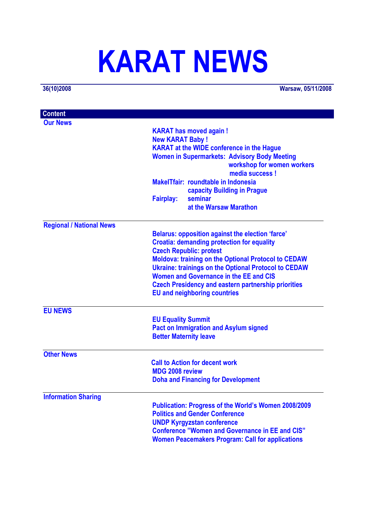# **KARAT NEWS**

**36(10)2008 Warsaw, 05/11/2008**

| <b>Content</b>                  |                                                             |
|---------------------------------|-------------------------------------------------------------|
| <b>Our News</b>                 |                                                             |
|                                 | <b>KARAT has moved again!</b>                               |
|                                 | <b>New KARAT Baby!</b>                                      |
|                                 | <b>KARAT</b> at the WIDE conference in the Hague            |
|                                 | <b>Women in Supermarkets: Advisory Body Meeting</b>         |
|                                 | workshop for women workers                                  |
|                                 | media success !                                             |
|                                 | MakelTfair: roundtable in Indonesia                         |
|                                 | capacity Building in Prague                                 |
|                                 | <b>Fairplay:</b><br>seminar                                 |
|                                 | at the Warsaw Marathon                                      |
| <b>Regional / National News</b> |                                                             |
|                                 | <b>Belarus: opposition against the election 'farce'</b>     |
|                                 | <b>Croatia: demanding protection for equality</b>           |
|                                 | <b>Czech Republic: protest</b>                              |
|                                 | <b>Moldova: training on the Optional Protocol to CEDAW</b>  |
|                                 | <b>Ukraine: trainings on the Optional Protocol to CEDAW</b> |
|                                 | Women and Governance in the EE and CIS                      |
|                                 | <b>Czech Presidency and eastern partnership priorities</b>  |
|                                 | <b>EU and neighboring countries</b>                         |
| <b>EU NEWS</b>                  |                                                             |
|                                 | <b>EU Equality Summit</b>                                   |
|                                 | <b>Pact on Immigration and Asylum signed</b>                |
|                                 | <b>Better Maternity leave</b>                               |
| <b>Other News</b>               |                                                             |
|                                 | <b>Call to Action for decent work</b>                       |
|                                 | <b>MDG 2008 review</b>                                      |
|                                 | <b>Doha and Financing for Development</b>                   |
| <b>Information Sharing</b>      |                                                             |
|                                 | <b>Publication: Progress of the World's Women 2008/2009</b> |
|                                 | <b>Politics and Gender Conference</b>                       |
|                                 | <b>UNDP Kyrgyzstan conference</b>                           |
|                                 | <b>Conference "Women and Governance in EE and CIS"</b>      |
|                                 | <b>Women Peacemakers Program: Call for applications</b>     |
|                                 |                                                             |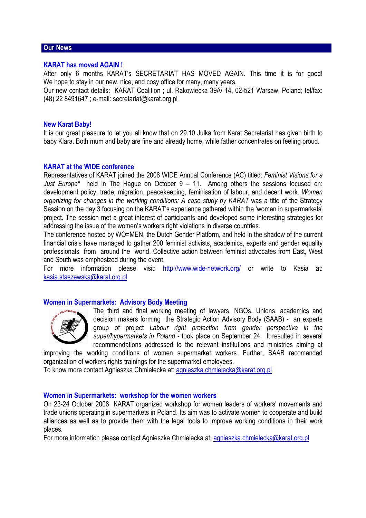# **Our News**

# **KARAT has moved AGAIN !**

After only 6 months KARAT's SECRETARIAT HAS MOVED AGAIN. This time it is for good! We hope to stay in our new, nice, and cosy office for many, many years.

Our new contact details: KARAT Coalition ; ul. Rakowiecka 39A/ 14, 02-521 Warsaw, Poland; tel/fax: (48) 22 8491647 ; e-mail: secretariat@karat.org.pl

#### **New Karat Baby!**

It is our great pleasure to let you all know that on 29.10 Julka from Karat Secretariat has given birth to baby Klara. Both mum and baby are fine and already home, while father concentrates on feeling proud.

# **KARAT at the WIDE conference**

Representatives of KARAT joined the 2008 WIDE Annual Conference (AC) titled: *Feminist Visions for a Just Europe"* held in The Hague on October 9 – 11. Among others the sessions focused on: development policy, trade, migration, peacekeeping, feminisation of labour, and decent work. *Women organizing for changes in the working conditions: A case study by KARAT* was a title of the Strategy Session on the day 3 focusing on the KARAT's experience gathered within the 'women in supermarkets' project. The session met a great interest of participants and developed some interesting strategies for addressing the issue of the women's workers right violations in diverse countries.

The conference hosted by WO=MEN, the Dutch Gender Platform, and held in the shadow of the current financial crisis have managed to gather 200 feminist activists, academics, experts and gender equality professionals from around the world. Collective action between feminist advocates from East, West and South was emphesized during the event.

For more information please visit: http://www.wide-network.org/ or write to Kasia at: kasia.staszewska@karat.org.pl

# **Women in Supermarkets: Advisory Body Meeting**



The third and final working meeting of lawyers, NGOs, Unions, academics and decision makers forming the Strategic Action Advisory Body (SAAB) - an experts group of project *Labour right protection from gender perspective in the super/hypermarkets in Poland* - took place on September 24. It resulted in several recommendations addressed to the relevant institutions and ministries aiming at

improving the working conditions of women supermarket workers. Further, SAAB recomended organization of workers rights trainings for the supermarket employees.

To know more contact Agnieszka Chmielecka at: agnieszka.chmielecka@karat.org.pl

#### **Women in Supermarkets: workshop for the women workers**

On 23-24 October 2008 KARAT organized workshop for women leaders of workers' movements and trade unions operating in supermarkets in Poland. Its aim was to activate women to cooperate and build alliances as well as to provide them with the legal tools to improve working conditions in their work places.

For more information please contact Agnieszka Chmielecka at: agnieszka.chmielecka@karat.org.pl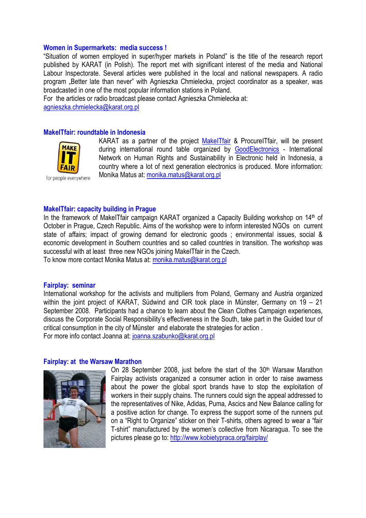#### **Women in Supermarkets: media success !**

"Situation of women employed in super/hyper markets in Poland" is the title of the research report published by KARAT (in Polish). The report met with significant interest of the media and National Labour Inspectorate. Several articles were published in the local and national newspapers. A radio program "Better late than never" with Agnieszka Chmielecka, project coordinator as a speaker, was broadcasted in one of the most popular information stations in Poland.

For the articles or radio broadcast please contact Agnieszka Chmielecka at:

agnieszka.chmielecka@karat.org.pl

# **MakeITfair: roundtable in Indonesia**



KARAT as a partner of the project MakelTfair & ProcurelTfair, will be present during international round table organized by GoodElectronics - International Network on Human Rights and Sustainability in Electronic held in Indonesia, a country where a lot of next generation electronics is produced. More information: Monika Matus at: monika.matus@karat.org.pl

**MakeITfair: capacity building in Prague**  In the framework of MakeITfair campaign KARAT organized a Capacity Building workshop on 14th of October in Prague, Czech Republic. Aims of the workshop were to inform interested NGOs on current state of affairs; impact of growing demand for electronic goods ; environmental issues, social & economic development in Southern countries and so called countries in transition. The workshop was successful with at least three new NGOs joining MakeITfair in the Czech.

To know more contact Monika Matus at: monika.matus@karat.org.pl

#### **Fairplay: seminar**

International workshop for the activists and multipliers from Poland, Germany and Austria organized within the joint project of KARAT, Südwind and CIR took place in Münster, Germany on 19 – 21 September 2008. Participants had a chance to learn about the Clean Clothes Campaign experiences, discuss the Corporate Social Responsibility's effectiveness in the South, take part in the Guided tour of critical consumption in the city of Münster and elaborate the strategies for action . For more info contact Joanna at: joanna.szabunko@karat.org.pl

#### **Fairplay: at the Warsaw Marathon**



On 28 September 2008, just before the start of the  $30<sup>th</sup>$  Warsaw Marathon Fairplay activists oraganized a consumer action in order to raise awarness about the power the global sport brands have to stop the exploitation of workers in their supply chains. The runners could sign the appeal addressed to the representatives of Nike, Adidas, Puma, Ascics and New Balance calling for a positive action for change. To express the support some of the runners put on a "Right to Organize" sticker on their T-shirts, others agreed to wear a "fair T-shirt" manufactured by the women's collective from Nicaragua. To see the pictures please go to: http://www.kobietypraca.org/fairplay/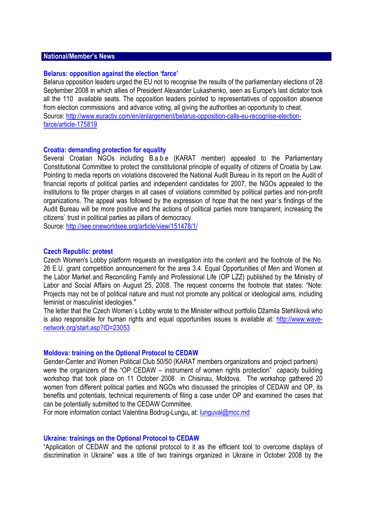# **National/Member's News**

### **Belarus: opposition against the election 'farce'**

Belarus opposition leaders urged the EU not to recognise the results of the parliamentary elections of 28 September 2008 in which allies of President Alexander Lukashenko, seen as Europe's last dictator took all the 110 available seats. The opposition leaders pointed to representatives of opposition absence from election commissions and advance voting, all giving the authorities an opportunity to cheat. Source: http://www.euractiv.com/en/enlargement/belarus-opposition-calls-eu-recognise-electionfarce/article-175819

#### **Croatia: demanding protection for equality**

Several Croatian NGOs including B.a.b.e (KARAT member) appealed to the Parliamentary Constitutional Committee to protect the constitutional principle of equality of citizens of Croatia by Law. Pointing to media reports on violations discovered the National Audit Bureau in its report on the Audit of financial reports of political parties and independent candidates for 2007, the NGOs appealed to the institutions to file proper charges in all cases of violations committed by political parties and non-profit organizations. The appeal was followed by the expression of hope that the next year`s findings of the Audit Bureau will be more positive and the actions of political parties more transparent, increasing the citizens` trust in political parties as pillars of democracy.

Source: http://see.oneworldsee.org/article/view/151478/1/

#### **Czech Republic: protest**

Czech Women's Lobby platform requests an investigation into the content and the footnote of the No. 26 E.U. grant competition announcement for the area 3.4. Equal Opportunities of Men and Women at the Labor Market and Reconciling Family and Professional Life (OP LZZ) published by the Ministry of Labor and Social Affairs on August 25, 2008. The request concerns the footnote that states: "Note: Projects may not be of political nature and must not promote any political or ideological aims, including feminist or masculinist ideologies."

The letter that the Czech Women´s Lobby wrote to the Minister without portfolio Džamila Stehlíková who is also responsible for human rights and equal opportunities issues is available at: http://www.wavenetwork.org/start.asp?ID=23053

#### **Moldova: training on the Optional Protocol to CEDAW**

Gender-Center and Women Political Club 50/50 (KARAT members organizations and project partners) were the organizers of the "OP CEDAW – instrument of women rights protection" capacity building workshop that took place on 11 October 2008 in Chisinau, Moldova. The workshop gathered 20 women from different political parties and NGOs who discussed the principles of CEDAW and OP, its benefits and potentials, technical requirements of filing a case under OP and examined the cases that can be potentially submitted to the CEDAW Committee.

For more information contact Valentina Bodrug-Lungu**,** at: lunguval@mcc.md

#### **Ukraine: trainings on the Optional Protocol to CEDAW**

"Application of CEDAW and the optional protocol to it as the efficient tool to overcome displays of discrimination in Ukraine" was a title of two trainings organized in Ukraine in October 2008 by the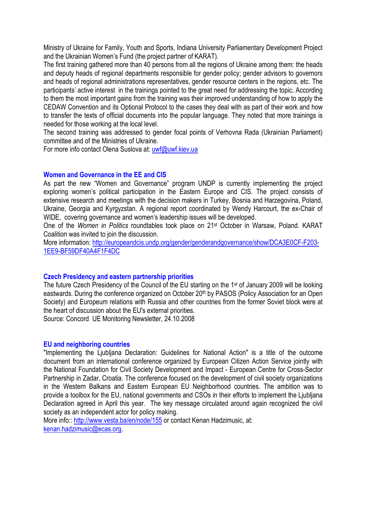Ministry of Ukraine for Family, Youth and Sports, Indiana University Parliamentary Development Project and the Ukrainian Women's Fund (the project partner of KARAT).

The first training gathered more than 40 persons from all the regions of Ukraine among them: the heads and deputy heads of regional departments responsible for gender policy; gender advisors to governors and heads of regional administrations representatives, gender resource centers in the regions, etc. The participants' active interest in the trainings pointed to the great need for addressing the topic. According to them the most important gains from the training was their improved understanding of how to apply the CEDAW Convention and its Optional Protocol to the cases they deal with as part of their work and how to transfer the texts of official documents into the popular language. They noted that more trainings is needed for those working at the local level.

The second training was addressed to gender focal points of Verhovna Rada (Ukrainian Parliament) committee and of the Ministries of Ukraine.

For more info contact Olena Suslova at: uwf@uwf.kiev.ua

# **Women and Governance in the EE and CIS**

As part the new "Women and Governance" program UNDP is currently implementing the project exploring women's political participation in the Eastern Europe and CIS. The project consists of extensive research and meetings with the decision makers in Turkey, Bosnia and Harzegovina, Poland, Ukraine, Georgia and Kyrgyzstan. A regional report coordinated by Wendy Harcourt, the ex-Chair of WIDE, covering governance and women's leadership issues will be developed.

One of the *Women in Politics* roundtables took place on 21st October in Warsaw, Poland. KARAT Coalition was invited to join the discussion.

More information: http://europeandcis.undp.org/gender/genderandgovernance/show/DCA3E0CF-F203-1EE9-BF59DF40A4F1F4DC

# **Czech Presidency and eastern partnership priorities**

The future Czech Presidency of the Council of the EU starting on the 1st of January 2009 will be looking eastwards. During the conference organized on October 20<sup>th</sup> by PASOS (Policy Association for an Open Society) and Europeum relations with Russia and other countries from the former Soviet block were at the heart of discussion about the EU's external priorities.

Source: Concord UE Monitoring Newsletter, 24.10.2008

# **EU and neighboring countries**

"Implementing the Ljubljana Declaration: Guidelines for National Action" is a title of the outcome document from an international conference organized by European Citizen Action Service jointly with the National Foundation for Civil Society Development and Impact - European Centre for Cross-Sector Partnership in Zadar, Croatia. The conference focused on the development of civil society organizations in the Western Balkans and Eastern European EU Neighborhood countries. The ambition was to provide a toolbox for the EU, national governments and CSOs in their efforts to implement the Ljubljana Declaration agreed in April this year. The key message circulated around again recognized the civil society as an independent actor for policy making.

More info:: http://www.vesta.ba/en/node/155 or contact Kenan Hadzimusic, at: kenan.hadzimusic@ecas.org.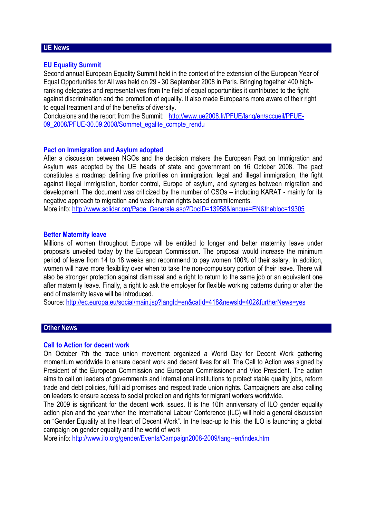# **UE News**

# **EU Equality Summit**

Second annual European Equality Summit held in the context of the extension of the European Year of Equal Opportunities for All was held on 29 - 30 September 2008 in Paris. Bringing together 400 highranking delegates and representatives from the field of equal opportunities it contributed to the fight against discrimination and the promotion of equality. It also made Europeans more aware of their right to equal treatment and of the benefits of diversity.

Conclusions and the report from the Summit: http://www.ue2008.fr/PFUE/lang/en/accueil/PFUE-09\_2008/PFUE-30.09.2008/Sommet\_egalite\_compte\_rendu

# **Pact on Immigration and Asylum adopted**

After a discussion between NGOs and the decision makers the European Pact on Immigration and Asylum was adopted by the UE heads of state and government on 16 October 2008. The pact constitutes a roadmap defining five priorities on immigration: legal and illegal immigration, the fight against illegal immigration, border control, Europe of asylum, and synergies between migration and development. The document was criticized by the number of CSOs – including KARAT - mainly for its negative approach to migration and weak human rights based commitements.

More info: http://www.solidar.org/Page\_Generale.asp?DocID=13958&langue=EN&thebloc=19305

# **Better Maternity leave**

Millions of women throughout Europe will be entitled to longer and better maternity leave under proposals unveiled today by the European Commission. The proposal would increase the minimum period of leave from 14 to 18 weeks and recommend to pay women 100% of their salary. In addition, women will have more flexibility over when to take the non-compulsory portion of their leave. There will also be stronger protection against dismissal and a right to return to the same job or an equivalent one after maternity leave. Finally, a right to ask the employer for flexible working patterns during or after the end of maternity leave will be introduced.

Source: http://ec.europa.eu/social/main.jsp?langId=en&catId=418&newsId=402&furtherNews=yes

# **Other News**

# **Call to Action for decent work**

On October 7th the trade union movement organized a World Day for Decent Work gathering momentum worldwide to ensure decent work and decent lives for all. The Call to Action was signed by President of the European Commission and European Commissioner and Vice President. The action aims to call on leaders of governments and international institutions to protect stable quality jobs, reform trade and debt policies, fulfil aid promises and respect trade union rights. Campaigners are also calling on leaders to ensure access to social protection and rights for migrant workers worldwide.

The 2009 is significant for the decent work issues. It is the 10th anniversary of ILO gender equality action plan and the year when the International Labour Conference (ILC) will hold a general discussion on "Gender Equality at the Heart of Decent Work". In the lead-up to this, the ILO is launching a global campaign on gender equality and the world of work

More info: http://www.ilo.org/gender/Events/Campaign2008-2009/lang--en/index.htm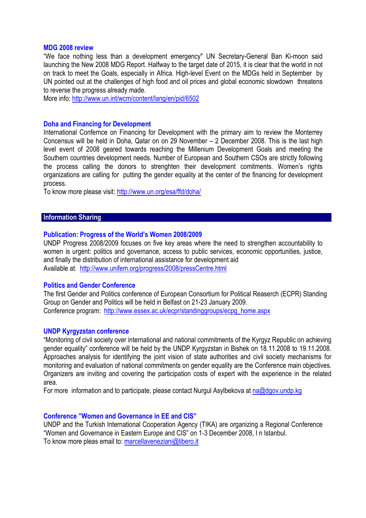### **MDG 2008 review**

"We face nothing less than a development emergency" UN Secretary-General Ban Ki-moon said launching the New 2008 MDG Report. Halfway to the target date of 2015, it is clear that the world in not on track to meet the Goals, especially in Africa. High-level Event on the MDGs held in September by UN pointed out at the challenges of high food and oil prices and global economic slowdown threatens to reverse the progress already made.

More info: http://www.un.int/wcm/content/lang/en/pid/6502

# **Doha and Financing for Development**

International Confernce on Financing for Development with the primary aim to review the Monterrey Concensus will be held in Doha, Qatar on on 29 November – 2 December 2008. This is the last high level event of 2008 geared towards reaching the Millenium Development Goals and meeting the Southern countries development needs. Number of European and Southern CSOs are strictly following the process calling the donors to strenghten their development comitments. Women's rights organizations are calling for putting the gender equality at the center of the financing for development process.

To know more please visit: http://www.un.org/esa/ffd/doha/

# **Information Sharing**

# **Publication: Progress of the World's Women 2008/2009**

UNDP Progress 2008/2009 focuses on five key areas where the need to strengthen accountability to women is urgent: politics and governance, access to public services, economic opportunities, justice, and finally the distribution of international assistance for development aid Available at: http://www.unifem.org/progress/2008/pressCentre.html

#### **Politics and Gender Conference**

The first Gender and Politics conference of European Consortium for Political Reaserch (ECPR) Standing Group on Gender and Politics will be held in Belfast on 21-23 January 2009. Conference program: http://www.essex.ac.uk/ecpr/standinggroups/ecpg\_home.aspx

#### **UNDP Kyrgyzstan conference**

"Monitoring of civil society over international and national commitments of the Kyrgyz Republic on achieving gender equality" conference will be held by the UNDP Kyrgyzstan in Bishek on 18.11.2008 to 19.11.2008. Approaches analysis for identifying the joint vision of state authorities and civil society mechanisms for monitoring and evaluation of national commitments on gender equality are the Conference main objectives. Organizers are inviting and covering the participation costs of expert with the experience in the related area.

For more information and to participate, please contact Nurgul Asylbekova at na@dgov.undp.kg

#### **Conference "Women and Governance in EE and CIS"**

UNDP and the Turkish International Cooperation Agency (TIKA) are organizing a Regional Conference "Women and Governance in Eastern Europe and CIS" on 1-3 December 2008, I n Istanbul. To know more pleas email to: marcellaveneziani@libero.it